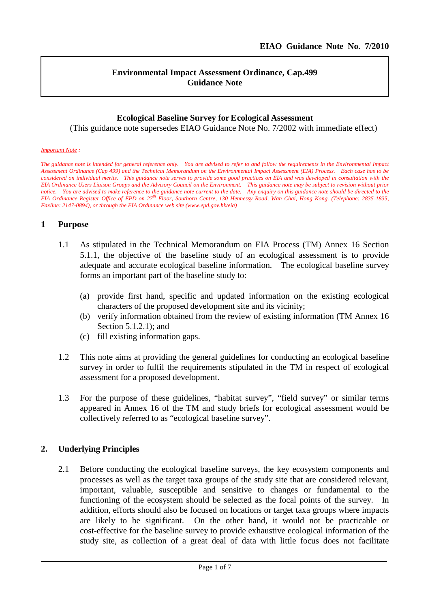l

### **Environmental Impact Assessment Ordinance, Cap.499 Guidance Note**

#### **Ecological Baseline Survey for Ecological Assessment**

(This guidance note supersedes EIAO Guidance Note No. 7/2002 with immediate effect)

#### *Important Note :*

*The guidance note is intended for general reference only. You are advised to refer to and follow the requirements in the Environmental Impact Assessment Ordinance (Cap 499) and the Technical Memorandum on the Environmental Impact Assessment (EIA) Process. Each case has to be considered on individual merits. This guidance note serves to provide some good practices on EIA and was developed in consultation with the EIA Ordinance Users Liaison Groups and the Advisory Council on the Environment. This guidance note may be subject to revision without prior notice. You are advised to make reference to the guidance note current to the date. Any enquiry on this guidance note should be directed to the EIA Ordinance Register Office of EPD on 27 th Floor, Southorn Centre, 130 Hennessy Road, Wan Chai, Hong Kong. (Telephone: 2835-1835, Faxline: 2147-0894), or through the EIA Ordinance web site (www.epd.gov.hk/eia)*

#### **1 Purpose**

- 1.1 As stipulated in the Technical Memorandum on EIA Process (TM) Annex 16 Section 5.1.1, the objective of the baseline study of an ecological assessment is to provide adequate and accurate ecological baseline information. The ecological baseline survey forms an important part of the baseline study to:
	- (a) provide first hand, specific and updated information on the existing ecological characters of the proposed development site and its vicinity;
	- (b) verify information obtained from the review of existing information (TM Annex 16 Section 5.1.2.1); and
	- (c) fill existing information gaps.
- 1.2 This note aims at providing the general guidelines for conducting an ecological baseline survey in order to fulfil the requirements stipulated in the TM in respect of ecological assessment for a proposed development.
- 1.3 For the purpose of these guidelines, "habitat survey", "field survey" or similar terms appeared in Annex 16 of the TM and study briefs for ecological assessment would be collectively referred to as "ecological baseline survey".

#### **2. Underlying Principles**

2.1 Before conducting the ecological baseline surveys, the key ecosystem components and processes as well as the target taxa groups of the study site that are considered relevant, important, valuable, susceptible and sensitive to changes or fundamental to the functioning of the ecosystem should be selected as the focal points of the survey. In addition, efforts should also be focused on locations or target taxa groups where impacts are likely to be significant. On the other hand, it would not be practicable or cost-effective for the baseline survey to provide exhaustive ecological information of the study site, as collection of a great deal of data with little focus does not facilitate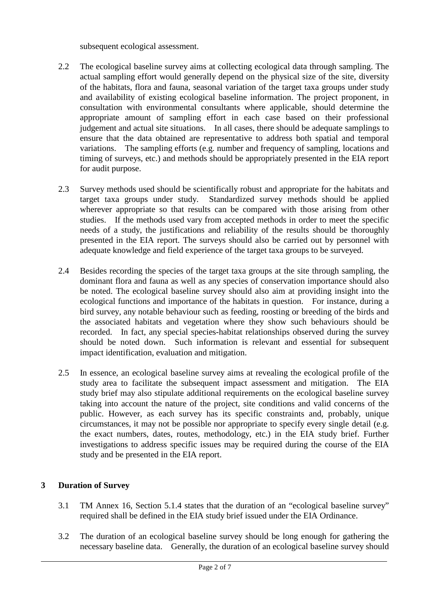subsequent ecological assessment.

- 2.2 The ecological baseline survey aims at collecting ecological data through sampling. The actual sampling effort would generally depend on the physical size of the site, diversity of the habitats, flora and fauna, seasonal variation of the target taxa groups under study and availability of existing ecological baseline information. The project proponent, in consultation with environmental consultants where applicable, should determine the appropriate amount of sampling effort in each case based on their professional judgement and actual site situations. In all cases, there should be adequate samplings to ensure that the data obtained are representative to address both spatial and temporal variations. The sampling efforts (e.g. number and frequency of sampling, locations and timing of surveys, etc.) and methods should be appropriately presented in the EIA report for audit purpose.
- 2.3 Survey methods used should be scientifically robust and appropriate for the habitats and target taxa groups under study. Standardized survey methods should be applied wherever appropriate so that results can be compared with those arising from other studies. If the methods used vary from accepted methods in order to meet the specific needs of a study, the justifications and reliability of the results should be thoroughly presented in the EIA report. The surveys should also be carried out by personnel with adequate knowledge and field experience of the target taxa groups to be surveyed.
- 2.4 Besides recording the species of the target taxa groups at the site through sampling, the dominant flora and fauna as well as any species of conservation importance should also be noted. The ecological baseline survey should also aim at providing insight into the ecological functions and importance of the habitats in question. For instance, during a bird survey, any notable behaviour such as feeding, roosting or breeding of the birds and the associated habitats and vegetation where they show such behaviours should be recorded. In fact, any special species-habitat relationships observed during the survey should be noted down. Such information is relevant and essential for subsequent impact identification, evaluation and mitigation.
- 2.5 In essence, an ecological baseline survey aims at revealing the ecological profile of the study area to facilitate the subsequent impact assessment and mitigation. The EIA study brief may also stipulate additional requirements on the ecological baseline survey taking into account the nature of the project, site conditions and valid concerns of the public. However, as each survey has its specific constraints and, probably, unique circumstances, it may not be possible nor appropriate to specify every single detail (e.g. the exact numbers, dates, routes, methodology, etc.) in the EIA study brief. Further investigations to address specific issues may be required during the course of the EIA study and be presented in the EIA report.

# **3 Duration of Survey**

- 3.1 TM Annex 16, Section 5.1.4 states that the duration of an "ecological baseline survey" required shall be defined in the EIA study brief issued under the EIA Ordinance.
- 3.2 The duration of an ecological baseline survey should be long enough for gathering the necessary baseline data. Generally, the duration of an ecological baseline survey should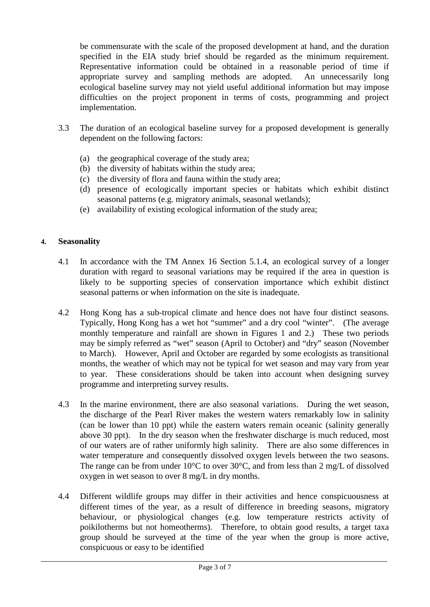be commensurate with the scale of the proposed development at hand, and the duration specified in the EIA study brief should be regarded as the minimum requirement. Representative information could be obtained in a reasonable period of time if appropriate survey and sampling methods are adopted. An unnecessarily long ecological baseline survey may not yield useful additional information but may impose difficulties on the project proponent in terms of costs, programming and project implementation.

- 3.3 The duration of an ecological baseline survey for a proposed development is generally dependent on the following factors:
	- (a) the geographical coverage of the study area;
	- (b) the diversity of habitats within the study area;
	- (c) the diversity of flora and fauna within the study area;
	- (d) presence of ecologically important species or habitats which exhibit distinct seasonal patterns (e.g. migratory animals, seasonal wetlands);
	- (e) availability of existing ecological information of the study area;

# **4. Seasonality**

- 4.1 In accordance with the TM Annex 16 Section 5.1.4, an ecological survey of a longer duration with regard to seasonal variations may be required if the area in question is likely to be supporting species of conservation importance which exhibit distinct seasonal patterns or when information on the site is inadequate.
- 4.2 Hong Kong has a sub-tropical climate and hence does not have four distinct seasons. Typically, Hong Kong has a wet hot "summer" and a dry cool "winter". (The average monthly temperature and rainfall are shown in Figures 1 and 2.) These two periods may be simply referred as "wet" season (April to October) and "dry" season (November to March). However, April and October are regarded by some ecologists as transitional months, the weather of which may not be typical for wet season and may vary from year to year. These considerations should be taken into account when designing survey programme and interpreting survey results.
- 4.3 In the marine environment, there are also seasonal variations. During the wet season, the discharge of the Pearl River makes the western waters remarkably low in salinity (can be lower than 10 ppt) while the eastern waters remain oceanic (salinity generally above 30 ppt). In the dry season when the freshwater discharge is much reduced, most of our waters are of rather uniformly high salinity. There are also some differences in water temperature and consequently dissolved oxygen levels between the two seasons. The range can be from under 10°C to over 30°C, and from less than 2 mg/L of dissolved oxygen in wet season to over 8 mg/L in dry months.
- 4.4 Different wildlife groups may differ in their activities and hence conspicuousness at different times of the year, as a result of difference in breeding seasons, migratory behaviour, or physiological changes (e.g. low temperature restricts activity of poikilotherms but not homeotherms). Therefore, to obtain good results, a target taxa group should be surveyed at the time of the year when the group is more active, conspicuous or easy to be identified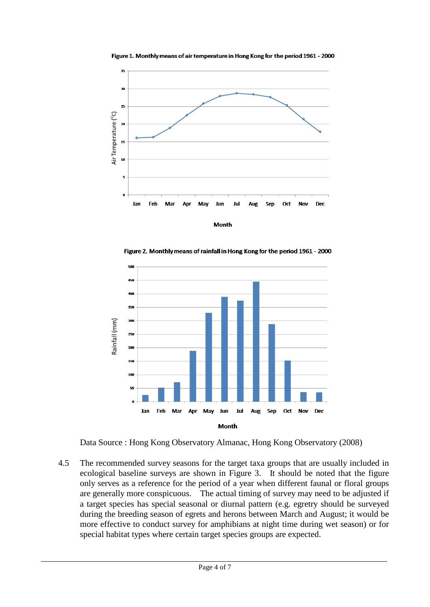

Figure 1. Monthly means of air temperature in Hong Kong for the period 1961 - 2000



Figure 2. Monthly means of rainfall in Hong Kong for the period 1961 - 2000

Data Source : Hong Kong Observatory Almanac, Hong Kong Observatory (2008)

4.5 The recommended survey seasons for the target taxa groups that are usually included in ecological baseline surveys are shown in Figure 3. It should be noted that the figure only serves as a reference for the period of a year when different faunal or floral groups are generally more conspicuous. The actual timing of survey may need to be adjusted if a target species has special seasonal or diurnal pattern (e.g. egretry should be surveyed during the breeding season of egrets and herons between March and August; it would be more effective to conduct survey for amphibians at night time during wet season) or for special habitat types where certain target species groups are expected.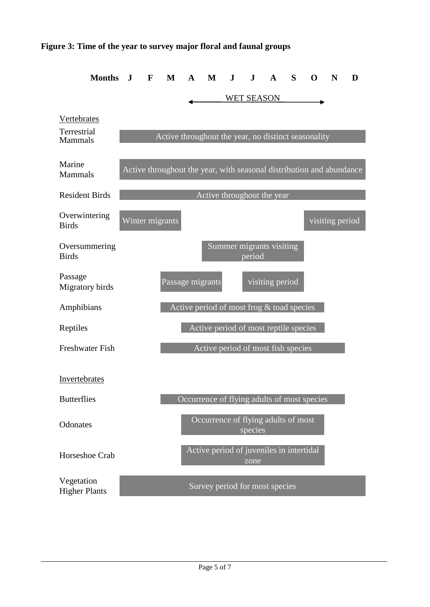### **Figure 3: Time of the year to survey major floral and faunal groups**

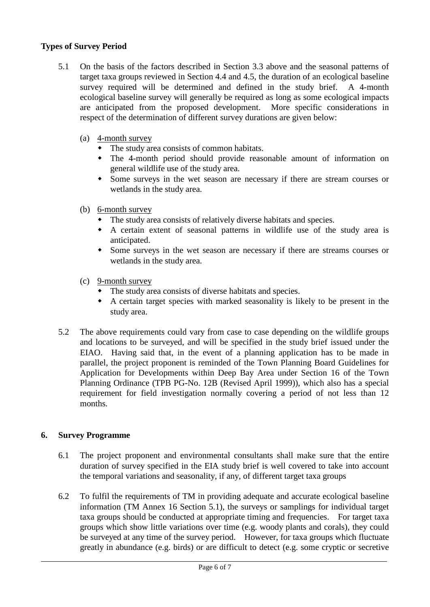## **Types of Survey Period**

- 5.1 On the basis of the factors described in Section 3.3 above and the seasonal patterns of target taxa groups reviewed in Section 4.4 and 4.5, the duration of an ecological baseline survey required will be determined and defined in the study brief. A 4-month ecological baseline survey will generally be required as long as some ecological impacts are anticipated from the proposed development. More specific considerations in respect of the determination of different survey durations are given below:
	- (a) 4-month survey
		- The study area consists of common habitats.
		- The 4-month period should provide reasonable amount of information on general wildlife use of the study area.
		- Some surveys in the wet season are necessary if there are stream courses or wetlands in the study area.
	- (b) 6-month survey
		- The study area consists of relatively diverse habitats and species.
		- A certain extent of seasonal patterns in wildlife use of the study area is anticipated.
		- Some surveys in the wet season are necessary if there are streams courses or wetlands in the study area.
	- (c) 9-month survey
		- The study area consists of diverse habitats and species.
		- A certain target species with marked seasonality is likely to be present in the study area.
- 5.2 The above requirements could vary from case to case depending on the wildlife groups and locations to be surveyed, and will be specified in the study brief issued under the EIAO. Having said that, in the event of a planning application has to be made in parallel, the project proponent is reminded of the Town Planning Board Guidelines for Application for Developments within Deep Bay Area under Section 16 of the Town Planning Ordinance (TPB PG-No. 12B (Revised April 1999)), which also has a special requirement for field investigation normally covering a period of not less than 12 months.

# **6. Survey Programme**

- 6.1 The project proponent and environmental consultants shall make sure that the entire duration of survey specified in the EIA study brief is well covered to take into account the temporal variations and seasonality, if any, of different target taxa groups
- 6.2 To fulfil the requirements of TM in providing adequate and accurate ecological baseline information (TM Annex 16 Section 5.1), the surveys or samplings for individual target taxa groups should be conducted at appropriate timing and frequencies. For target taxa groups which show little variations over time (e.g. woody plants and corals), they could be surveyed at any time of the survey period. However, for taxa groups which fluctuate greatly in abundance (e.g. birds) or are difficult to detect (e.g. some cryptic or secretive